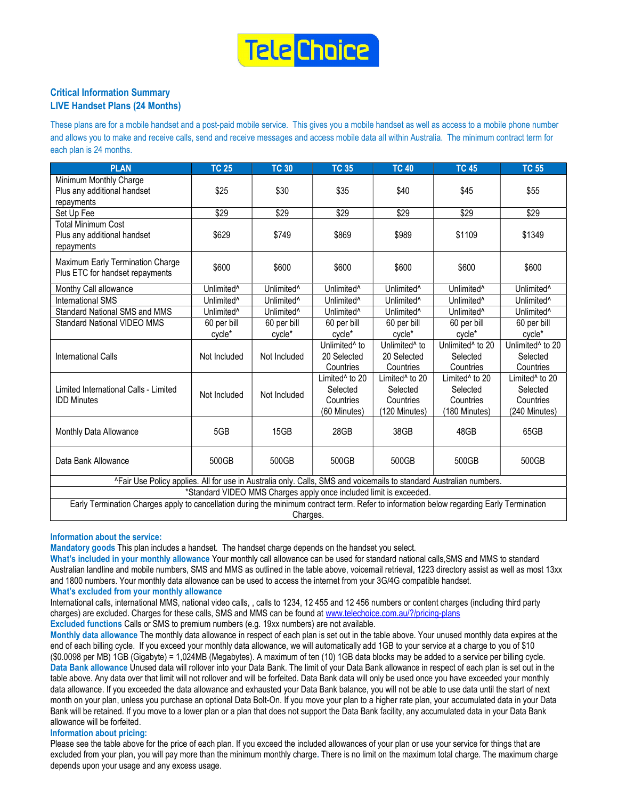

# Critical Information Summary LIVE Handset Plans (24 Months)

These plans are for a mobile handset and a post-paid mobile service. This gives you a mobile handset as well as access to a mobile phone number and allows you to make and receive calls, send and receive messages and access mobile data all within Australia. The minimum contract term for each plan is 24 months.

| <b>PLAN</b>                                                                                                                                                                                                                                       | <b>TC 25</b>           | <b>TC 30</b>           | <b>TC 35</b>                                                        | <b>TC 40</b>                                                         | <b>TC 45</b>                                                         | <b>TC 55</b>                                                         |  |  |  |
|---------------------------------------------------------------------------------------------------------------------------------------------------------------------------------------------------------------------------------------------------|------------------------|------------------------|---------------------------------------------------------------------|----------------------------------------------------------------------|----------------------------------------------------------------------|----------------------------------------------------------------------|--|--|--|
| Minimum Monthly Charge<br>Plus any additional handset<br>repayments                                                                                                                                                                               | \$25                   | \$30                   | \$35                                                                | \$40                                                                 | \$45                                                                 | \$55                                                                 |  |  |  |
| Set Up Fee                                                                                                                                                                                                                                        | \$29                   | \$29                   | \$29                                                                | \$29                                                                 | \$29                                                                 | \$29                                                                 |  |  |  |
| <b>Total Minimum Cost</b><br>Plus any additional handset<br>repayments                                                                                                                                                                            | \$629                  | \$749                  | \$869                                                               | \$989                                                                | \$1109                                                               | \$1349                                                               |  |  |  |
| Maximum Early Termination Charge<br>Plus ETC for handset repayments                                                                                                                                                                               | \$600                  | \$600                  | \$600                                                               | \$600                                                                | \$600                                                                | \$600                                                                |  |  |  |
| Monthy Call allowance                                                                                                                                                                                                                             | Unlimited <sup>^</sup> | Unlimited <sup>^</sup> | Unlimited <sup>^</sup>                                              | Unlimited <sup>^</sup>                                               | Unlimited <sup>^</sup>                                               | Unlimited <sup>^</sup>                                               |  |  |  |
| <b>International SMS</b>                                                                                                                                                                                                                          | Unlimited <sup>^</sup> | Unlimited <sup>^</sup> | Unlimited <sup>^</sup>                                              | Unlimited <sup>^</sup>                                               | Unlimited <sup>^</sup>                                               | Unlimited <sup>^</sup>                                               |  |  |  |
| Standard National SMS and MMS                                                                                                                                                                                                                     | Unlimited <sup>^</sup> | Unlimited <sup>^</sup> | Unlimited <sup>^</sup>                                              | Unlimited <sup>^</sup>                                               | Unlimited <sup>^</sup>                                               | Unlimited <sup>^</sup>                                               |  |  |  |
| <b>Standard National VIDEO MMS</b>                                                                                                                                                                                                                | 60 per bill            | 60 per bill            | 60 per bill                                                         | 60 per bill                                                          | 60 per bill                                                          | 60 per bill                                                          |  |  |  |
|                                                                                                                                                                                                                                                   | cycle*                 | cycle*                 | cycle*                                                              | cycle*                                                               | cycle*                                                               | cycle*                                                               |  |  |  |
| <b>International Calls</b>                                                                                                                                                                                                                        | Not Included           | Not Included           | Unlimited <sup>^</sup> to<br>20 Selected<br>Countries               | Unlimited <sup>^</sup> to<br>20 Selected<br>Countries                | Unlimited <sup>^</sup> to 20<br>Selected<br>Countries                | Unlimited <sup>^</sup> to 20<br>Selected<br>Countries                |  |  |  |
| Limited International Calls - Limited<br><b>IDD Minutes</b>                                                                                                                                                                                       | Not Included           | Not Included           | Limited <sup>^</sup> to 20<br>Selected<br>Countries<br>(60 Minutes) | Limited <sup>^</sup> to 20<br>Selected<br>Countries<br>(120 Minutes) | Limited <sup>^</sup> to 20<br>Selected<br>Countries<br>(180 Minutes) | Limited <sup>^</sup> to 20<br>Selected<br>Countries<br>(240 Minutes) |  |  |  |
| Monthly Data Allowance                                                                                                                                                                                                                            | 5GB                    | 15GB                   | 28GB                                                                | 38GB                                                                 | 48GB                                                                 | 65GB                                                                 |  |  |  |
| Data Bank Allowance                                                                                                                                                                                                                               | 500GB                  | 500GB                  | 500GB                                                               | 500GB                                                                | 500GB                                                                | 500GB                                                                |  |  |  |
| ^Fair Use Policy applies. All for use in Australia only. Calls, SMS and voicemails to standard Australian numbers.                                                                                                                                |                        |                        |                                                                     |                                                                      |                                                                      |                                                                      |  |  |  |
| *Standard VIDEO MMS Charges apply once included limit is exceeded.                                                                                                                                                                                |                        |                        |                                                                     |                                                                      |                                                                      |                                                                      |  |  |  |
| $\Gamma$ and $\Gamma$ $\Gamma$ and $\Gamma$<br>المتلاط المتعاقلة والمناد<br>د الله مناسبة Called II و مناسبة من مناسبة المناسبة<br>e e el la Caraccio de Jacobe de la factura construente de caraccio de la factura de la factura de la factura d |                        |                        |                                                                     |                                                                      |                                                                      |                                                                      |  |  |  |

Early Termination Charges apply to cancellation during the minimum contract term. Refer to information below regarding Early Termination Charges.

## Information about the service:

Mandatory goods This plan includes a handset. The handset charge depends on the handset you select.

What's included in your monthly allowance Your monthly call allowance can be used for standard national calls,SMS and MMS to standard Australian landline and mobile numbers, SMS and MMS as outlined in the table above, voicemail retrieval, 1223 directory assist as well as most 13xx and 1800 numbers. Your monthly data allowance can be used to access the internet from your 3G/4G compatible handset.

What's excluded from your monthly allowance

International calls, international MMS, national video calls, , calls to 1234, 12 455 and 12 456 numbers or content charges (including third party charges) are excluded. Charges for these calls, SMS and MMS can be found at www.telechoice.com.au/?/pricing-plans Excluded functions Calls or SMS to premium numbers (e.g. 19xx numbers) are not available.

Monthly data allowance The monthly data allowance in respect of each plan is set out in the table above. Your unused monthly data expires at the end of each billing cycle. If you exceed your monthly data allowance, we will automatically add 1GB to your service at a charge to you of \$10 (\$0.0098 per MB) 1GB (Gigabyte) = 1,024MB (Megabytes). A maximum of ten (10) 1GB data blocks may be added to a service per billing cycle. Data Bank allowance Unused data will rollover into your Data Bank. The limit of your Data Bank allowance in respect of each plan is set out in the table above. Any data over that limit will not rollover and will be forfeited. Data Bank data will only be used once you have exceeded your monthly data allowance. If you exceeded the data allowance and exhausted your Data Bank balance, you will not be able to use data until the start of next month on your plan, unless you purchase an optional Data Bolt-On. If you move your plan to a higher rate plan, your accumulated data in your Data Bank will be retained. If you move to a lower plan or a plan that does not support the Data Bank facility, any accumulated data in your Data Bank allowance will be forfeited.

### Information about pricing:

Please see the table above for the price of each plan. If you exceed the included allowances of your plan or use your service for things that are excluded from your plan, you will pay more than the minimum monthly charge. There is no limit on the maximum total charge. The maximum charge depends upon your usage and any excess usage.